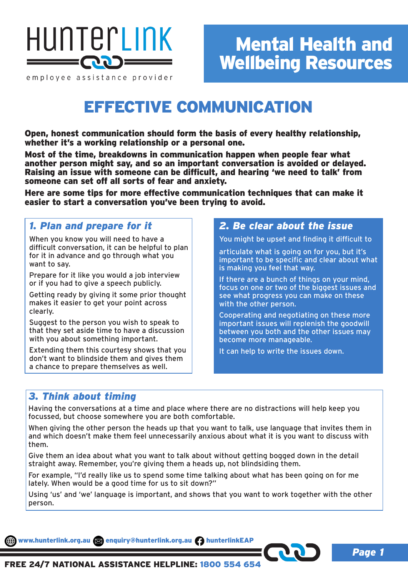

employee assistance provider

## EFFECTIVE COMMUNICATION

Open, honest communication should form the basis of every healthy relationship, whether it's a working relationship or a personal one.

Most of the time, breakdowns in communication happen when people fear what another person might say, and so an important conversation is avoided or delayed. Raising an issue with someone can be difficult, and hearing 'we need to talk' from someone can set off all sorts of fear and anxiety.

Here are some tips for more effective communication techniques that can make it easier to start a conversation you've been trying to avoid.

## *1. Plan and prepare for it*

When you know you will need to have a difficult conversation, it can be helpful to plan for it in advance and go through what you want to say.

Prepare for it like you would a job interview or if you had to give a speech publicly.

Getting ready by giving it some prior thought makes it easier to get your point across clearly.

Suggest to the person you wish to speak to that they set aside time to have a discussion with you about something important.

Extending them this courtesy shows that you don't want to blindside them and gives them a chance to prepare themselves as well.

## *2. Be clear about the issue*

You might be upset and finding it difficult to

articulate what is going on for you, but it's important to be specific and clear about what is making you feel that way.

If there are a bunch of things on your mind, focus on one or two of the biggest issues and see what progress you can make on these with the other person.

Cooperating and negotiating on these more important issues will replenish the goodwill between you both and the other issues may become more manageable.

It can help to write the issues down.

### *3. Think about timing*

Having the conversations at a time and place where there are no distractions will help keep you focussed, but choose somewhere you are both comfortable.

When giving the other person the heads up that you want to talk, use language that invites them in and which doesn't make them feel unnecessarily anxious about what it is you want to discuss with them.

Give them an idea about what you want to talk about without getting bogged down in the detail straight away. Remember, you're giving them a heads up, not blindsiding them.

For example, "I'd really like us to spend some time talking about what has been going on for me lately. When would be a good time for us to sit down?"

Using 'us' and 'we' language is important, and shows that you want to work together with the other person.

www.hunterlink.org.au and enquiry@hunterlink.org.au hunterlinkEAP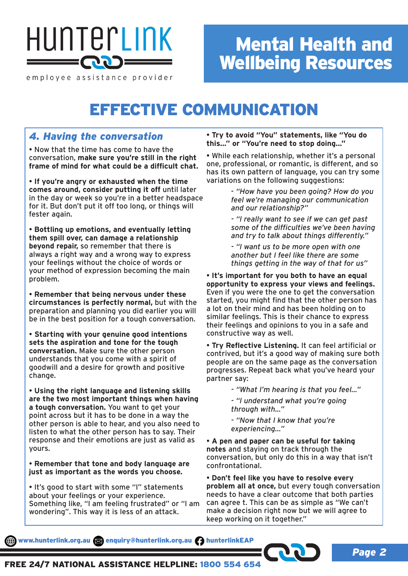

#### employee assistance provider

# Mental Health and Wellbeing Resources

# EFFECTIVE COMMUNICATION

## *4. Having the conversation*

• Now that the time has come to have the conversation, **make sure you're still in the right frame of mind for what could be a difficult chat.**

• **If you're angry or exhausted when the time comes around, consider putting it off** until later in the day or week so you're in a better headspace for it. But don't put it off too long, or things will fester again.

• **Bottling up emotions, and eventually letting them spill over, can damage a relationship beyond repair,** so remember that there is always a right way and a wrong way to express your feelings without the choice of words or your method of expression becoming the main problem.

• **Remember that being nervous under these circumstances is perfectly normal,** but with the preparation and planning you did earlier you will be in the best position for a tough conversation.

• **Starting with your genuine good intentions sets the aspiration and tone for the tough conversation.** Make sure the other person understands that you come with a spirit of goodwill and a desire for growth and positive change.

• **Using the right language and listening skills are the two most important things when having a tough conversation.** You want to get your point across but it has to be done in a way the other person is able to hear, and you also need to listen to what the other person has to say. Their response and their emotions are just as valid as yours.

• **Remember that tone and body language are just as important as the words you choose.**

• It's good to start with some "I" statements about your feelings or your experience. Something like, "I am feeling frustrated" or "I am wondering". This way it is less of an attack.

• **Try to avoid "You" statements, like "You do this..." or "You're need to stop doing..."**

• While each relationship, whether it's a personal one, professional, or romantic, is different, and so has its own pattern of language, you can try some variations on the following suggestions:

> - *"How have you been going? How do you feel we're managing our communication and our relationship?"*

*- "I really want to see if we can get past some of the difficulties we've been having and try to talk about things differently."*

*- "I want us to be more open with one another but I feel like there are some things getting in the way of that for us"*

• **It's important for you both to have an equal opportunity to express your views and feelings.** Even if you were the one to get the conversation started, you might find that the other person has a lot on their mind and has been holding on to similar feelings. This is their chance to express their feelings and opinions to you in a safe and constructive way as well.

• **Try Reflective Listening.** It can feel artificial or contrived, but it's a good way of making sure both people are on the same page as the conversation progresses. Repeat back what you've heard your partner say:

*- "What I'm hearing is that you feel..."*

*- "I understand what you're going through with..."*

*- "Now that I know that you're experiencing..."*

• **A pen and paper can be useful for taking notes** and staying on track through the conversation, but only do this in a way that isn't confrontational.

• **Don't feel like you have to resolve every problem all at once,** but every tough conversation needs to have a clear outcome that both parties can agree t. This can be as simple as "We can't make a decision right now but we will agree to keep working on it together."

www.hunterlink.org.au and enquiry@hunterlink.org.au hunterlinkEAP